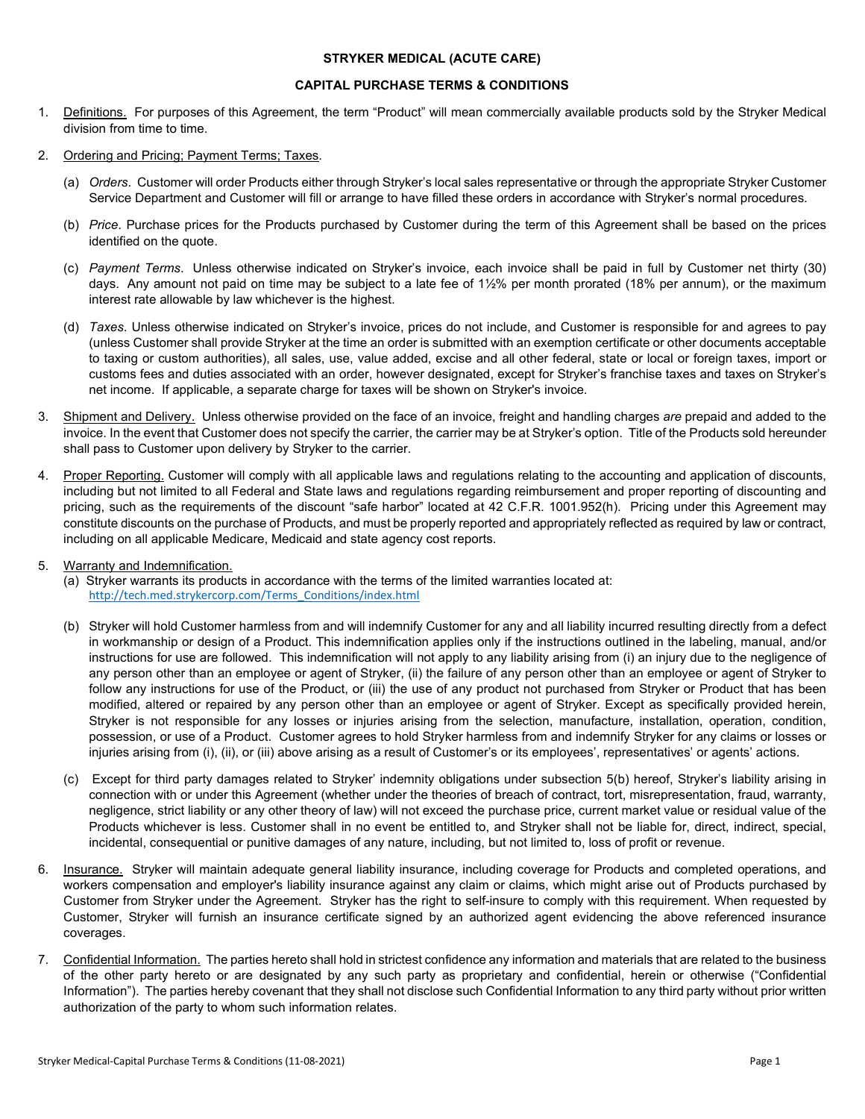## **STRYKER MEDICAL (ACUTE CARE)**

## **CAPITAL PURCHASE TERMS & CONDITIONS**

- 1. Definitions. For purposes of this Agreement, the term "Product" will mean commercially available products sold by the Stryker Medical division from time to time.
- 2. Ordering and Pricing; Payment Terms; Taxes.
	- (a) *Orders*. Customer will order Products either through Stryker's local sales representative or through the appropriate Stryker Customer Service Department and Customer will fill or arrange to have filled these orders in accordance with Stryker's normal procedures.
	- (b) *Price*. Purchase prices for the Products purchased by Customer during the term of this Agreement shall be based on the prices identified on the quote.
	- (c) *Payment Terms*. Unless otherwise indicated on Stryker's invoice, each invoice shall be paid in full by Customer net thirty (30) days. Any amount not paid on time may be subject to a late fee of 1½% per month prorated (18% per annum), or the maximum interest rate allowable by law whichever is the highest.
	- (d) *Taxes*. Unless otherwise indicated on Stryker's invoice, prices do not include, and Customer is responsible for and agrees to pay (unless Customer shall provide Stryker at the time an order is submitted with an exemption certificate or other documents acceptable to taxing or custom authorities), all sales, use, value added, excise and all other federal, state or local or foreign taxes, import or customs fees and duties associated with an order, however designated, except for Stryker's franchise taxes and taxes on Stryker's net income. If applicable, a separate charge for taxes will be shown on Stryker's invoice.
- 3. Shipment and Delivery. Unless otherwise provided on the face of an invoice, freight and handling charges *are* prepaid and added to the invoice. In the event that Customer does not specify the carrier, the carrier may be at Stryker's option. Title of the Products sold hereunder shall pass to Customer upon delivery by Stryker to the carrier.
- 4. Proper Reporting. Customer will comply with all applicable laws and regulations relating to the accounting and application of discounts, including but not limited to all Federal and State laws and regulations regarding reimbursement and proper reporting of discounting and pricing, such as the requirements of the discount "safe harbor" located at 42 C.F.R. 1001.952(h). Pricing under this Agreement may constitute discounts on the purchase of Products, and must be properly reported and appropriately reflected as required by law or contract, including on all applicable Medicare, Medicaid and state agency cost reports.
- 5. Warranty and Indemnification.
	- (a) Stryker warrants its products in accordance with the terms of the limited warranties located at: [http://tech.med.strykercorp.com/Terms\\_Conditions/index.html](http://tech.med.strykercorp.com/Terms_Conditions/index.html)
	- (b) Stryker will hold Customer harmless from and will indemnify Customer for any and all liability incurred resulting directly from a defect in workmanship or design of a Product. This indemnification applies only if the instructions outlined in the labeling, manual, and/or instructions for use are followed. This indemnification will not apply to any liability arising from (i) an injury due to the negligence of any person other than an employee or agent of Stryker, (ii) the failure of any person other than an employee or agent of Stryker to follow any instructions for use of the Product, or (iii) the use of any product not purchased from Stryker or Product that has been modified, altered or repaired by any person other than an employee or agent of Stryker. Except as specifically provided herein, Stryker is not responsible for any losses or injuries arising from the selection, manufacture, installation, operation, condition, possession, or use of a Product. Customer agrees to hold Stryker harmless from and indemnify Stryker for any claims or losses or injuries arising from (i), (ii), or (iii) above arising as a result of Customer's or its employees', representatives' or agents' actions.
	- (c) Except for third party damages related to Stryker' indemnity obligations under subsection 5(b) hereof, Stryker's liability arising in connection with or under this Agreement (whether under the theories of breach of contract, tort, misrepresentation, fraud, warranty, negligence, strict liability or any other theory of law) will not exceed the purchase price, current market value or residual value of the Products whichever is less. Customer shall in no event be entitled to, and Stryker shall not be liable for, direct, indirect, special, incidental, consequential or punitive damages of any nature, including, but not limited to, loss of profit or revenue.
- 6. Insurance. Stryker will maintain adequate general liability insurance, including coverage for Products and completed operations, and workers compensation and employer's liability insurance against any claim or claims, which might arise out of Products purchased by Customer from Stryker under the Agreement. Stryker has the right to self-insure to comply with this requirement. When requested by Customer, Stryker will furnish an insurance certificate signed by an authorized agent evidencing the above referenced insurance coverages.
- 7. Confidential Information. The parties hereto shall hold in strictest confidence any information and materials that are related to the business of the other party hereto or are designated by any such party as proprietary and confidential, herein or otherwise ("Confidential Information"). The parties hereby covenant that they shall not disclose such Confidential Information to any third party without prior written authorization of the party to whom such information relates.